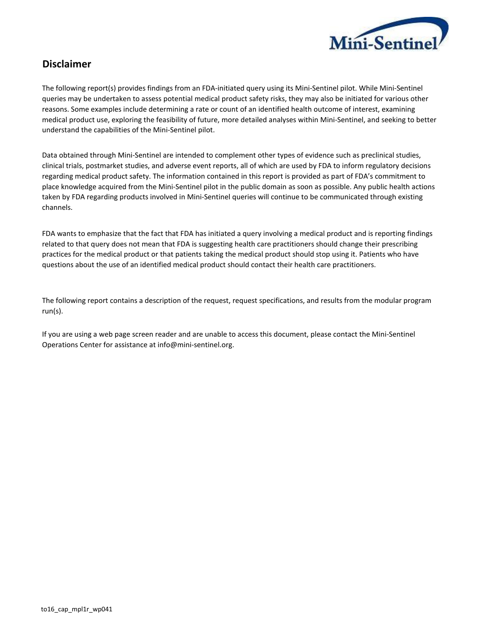

## **Disclaimer**

The following report(s) provides findings from an FDA‐initiated query using its Mini‐Sentinel pilot. While Mini‐Sentinel queries may be undertaken to assess potential medical product safety risks, they may also be initiated for various other reasons. Some examples include determining a rate or count of an identified health outcome of interest, examining medical product use, exploring the feasibility of future, more detailed analyses within Mini-Sentinel, and seeking to better understand the capabilities of the Mini-Sentinel pilot.

Data obtained through Mini-Sentinel are intended to complement other types of evidence such as preclinical studies, clinical trials, postmarket studies, and adverse event reports, all of which are used by FDA to inform regulatory decisions regarding medical product safety. The information contained in this report is provided as part of FDA's commitment to place knowledge acquired from the Mini-Sentinel pilot in the public domain as soon as possible. Any public health actions taken by FDA regarding products involved in Mini-Sentinel queries will continue to be communicated through existing channels.

FDA wants to emphasize that the fact that FDA has initiated a query involving a medical product and is reporting findings related to that query does not mean that FDA is suggesting health care practitioners should change their prescribing practices for the medical product or that patients taking the medical product should stop using it. Patients who have questions about the use of an identified medical product should contact their health care practitioners.

The following report contains a description of the request, request specifications, and results from the modular program run(s).

If you are using a web page screen reader and are unable to access this document, please contact the Mini-Sentinel Operations Center for assistance at info@mini‐sentinel.org.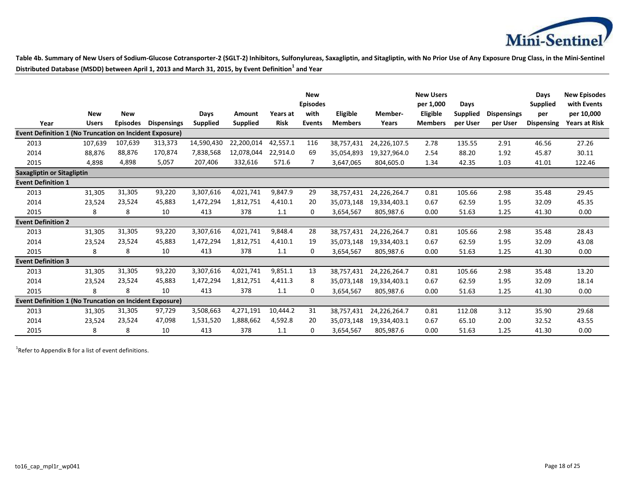

**Table 4b. Summary of New Users of Sodium-Glucose Cotransporter-2 (SGLT-2) Inhibitors, Sulfonylureas, Saxagliptin, and Sitagliptin, with No Prior Use of Any Exposure Drug Class, in the Mini-Sentinel Distributed Database (MSDD) between April 1, 2013 and March 31, 2015, by Event Definition<sup>1</sup> and Year**

|                                                                |              |                 |                    |                 |                 |             | <b>New</b><br><b>Episodes</b> |                 |              | <b>New Users</b><br>per 1,000 | Days            |                    | Days<br><b>Supplied</b> | <b>New Episodes</b><br>with Events |
|----------------------------------------------------------------|--------------|-----------------|--------------------|-----------------|-----------------|-------------|-------------------------------|-----------------|--------------|-------------------------------|-----------------|--------------------|-------------------------|------------------------------------|
|                                                                | <b>New</b>   | <b>New</b>      |                    | Days            | Amount          | Years at    | with                          | <b>Eligible</b> | Member-      | Eligible                      | <b>Supplied</b> | <b>Dispensings</b> | per                     | per 10,000                         |
| Year                                                           | <b>Users</b> | <b>Episodes</b> | <b>Dispensings</b> | <b>Supplied</b> | <b>Supplied</b> | <b>Risk</b> | <b>Events</b>                 | <b>Members</b>  | Years        | <b>Members</b>                | per User        | per User           | <b>Dispensing</b>       | Years at Risk                      |
| <b>Event Definition 1 (No Truncation on Incident Exposure)</b> |              |                 |                    |                 |                 |             |                               |                 |              |                               |                 |                    |                         |                                    |
| 2013                                                           | 107,639      | 107,639         | 313,373            | 14,590,430      | 22,200,014      | 42,557.1    | 116                           | 38,757,431      | 24,226,107.5 | 2.78                          | 135.55          | 2.91               | 46.56                   | 27.26                              |
| 2014                                                           | 88,876       | 88,876          | 170,874            | 7,838,568       | 12,078,044      | 22,914.0    | 69                            | 35,054,893      | 19,327,964.0 | 2.54                          | 88.20           | 1.92               | 45.87                   | 30.11                              |
| 2015                                                           | 4,898        | 4,898           | 5,057              | 207,406         | 332,616         | 571.6       | 7                             | 3,647,065       | 804,605.0    | 1.34                          | 42.35           | 1.03               | 41.01                   | 122.46                             |
| <b>Saxagliptin or Sitagliptin</b>                              |              |                 |                    |                 |                 |             |                               |                 |              |                               |                 |                    |                         |                                    |
| <b>Event Definition 1</b>                                      |              |                 |                    |                 |                 |             |                               |                 |              |                               |                 |                    |                         |                                    |
| 2013                                                           | 31,305       | 31,305          | 93,220             | 3,307,616       | 4,021,741       | 9,847.9     | 29                            | 38,757,431      | 24,226,264.7 | 0.81                          | 105.66          | 2.98               | 35.48                   | 29.45                              |
| 2014                                                           | 23,524       | 23,524          | 45,883             | 1,472,294       | 1,812,751       | 4,410.1     | 20                            | 35,073,148      | 19,334,403.1 | 0.67                          | 62.59           | 1.95               | 32.09                   | 45.35                              |
| 2015                                                           | 8            | 8               | 10                 | 413             | 378             | 1.1         | 0                             | 3,654,567       | 805,987.6    | 0.00                          | 51.63           | 1.25               | 41.30                   | 0.00                               |
| <b>Event Definition 2</b>                                      |              |                 |                    |                 |                 |             |                               |                 |              |                               |                 |                    |                         |                                    |
| 2013                                                           | 31,305       | 31,305          | 93,220             | 3,307,616       | 4,021,741       | 9,848.4     | 28                            | 38,757,431      | 24,226,264.7 | 0.81                          | 105.66          | 2.98               | 35.48                   | 28.43                              |
| 2014                                                           | 23,524       | 23,524          | 45,883             | 1,472,294       | 1,812,751       | 4,410.1     | 19                            | 35,073,148      | 19,334,403.1 | 0.67                          | 62.59           | 1.95               | 32.09                   | 43.08                              |
| 2015                                                           | 8            | 8               | 10                 | 413             | 378             | 1.1         | 0                             | 3,654,567       | 805,987.6    | 0.00                          | 51.63           | 1.25               | 41.30                   | 0.00                               |
| <b>Event Definition 3</b>                                      |              |                 |                    |                 |                 |             |                               |                 |              |                               |                 |                    |                         |                                    |
| 2013                                                           | 31,305       | 31,305          | 93,220             | 3,307,616       | 4,021,741       | 9,851.1     | 13                            | 38,757,431      | 24,226,264.7 | 0.81                          | 105.66          | 2.98               | 35.48                   | 13.20                              |
| 2014                                                           | 23,524       | 23,524          | 45,883             | 1,472,294       | 1,812,751       | 4,411.3     | 8                             | 35,073,148      | 19,334,403.1 | 0.67                          | 62.59           | 1.95               | 32.09                   | 18.14                              |
| 2015                                                           | 8            | 8               | 10                 | 413             | 378             | 1.1         | 0                             | 3,654,567       | 805,987.6    | 0.00                          | 51.63           | 1.25               | 41.30                   | 0.00                               |
| <b>Event Definition 1 (No Truncation on Incident Exposure)</b> |              |                 |                    |                 |                 |             |                               |                 |              |                               |                 |                    |                         |                                    |
| 2013                                                           | 31,305       | 31,305          | 97,729             | 3,508,663       | 4,271,191       | 10,444.2    | 31                            | 38,757,431      | 24,226,264.7 | 0.81                          | 112.08          | 3.12               | 35.90                   | 29.68                              |
| 2014                                                           | 23,524       | 23,524          | 47,098             | 1,531,520       | 1,888,662       | 4,592.8     | 20                            | 35.073.148      | 19,334,403.1 | 0.67                          | 65.10           | 2.00               | 32.52                   | 43.55                              |
| 2015                                                           | 8            | 8               | 10                 | 413             | 378             | 1.1         | 0                             | 3,654,567       | 805,987.6    | 0.00                          | 51.63           | 1.25               | 41.30                   | 0.00                               |

 $1$ Refer to Appendix B for a list of event definitions.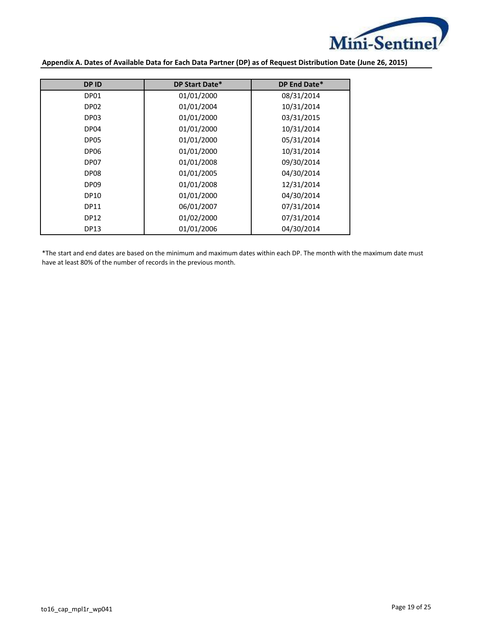

**Appendix A. Dates of Available Data for Each Data Partner (DP) as of Request Distribution Date (June 26, 2015)**

| <b>DPID</b>      | DP Start Date* | DP End Date* |
|------------------|----------------|--------------|
| DP01             | 01/01/2000     | 08/31/2014   |
| DP <sub>02</sub> | 01/01/2004     | 10/31/2014   |
| DP <sub>03</sub> | 01/01/2000     | 03/31/2015   |
| DP04             | 01/01/2000     | 10/31/2014   |
| DP05             | 01/01/2000     | 05/31/2014   |
| DP <sub>06</sub> | 01/01/2000     | 10/31/2014   |
| DP07             | 01/01/2008     | 09/30/2014   |
| DP08             | 01/01/2005     | 04/30/2014   |
| DP <sub>09</sub> | 01/01/2008     | 12/31/2014   |
| <b>DP10</b>      | 01/01/2000     | 04/30/2014   |
| <b>DP11</b>      | 06/01/2007     | 07/31/2014   |
| <b>DP12</b>      | 01/02/2000     | 07/31/2014   |
| <b>DP13</b>      | 01/01/2006     | 04/30/2014   |

\*The start and end dates are based on the minimum and maximum dates within each DP. The month with the maximum date must have at least 80% of the number of records in the previous month.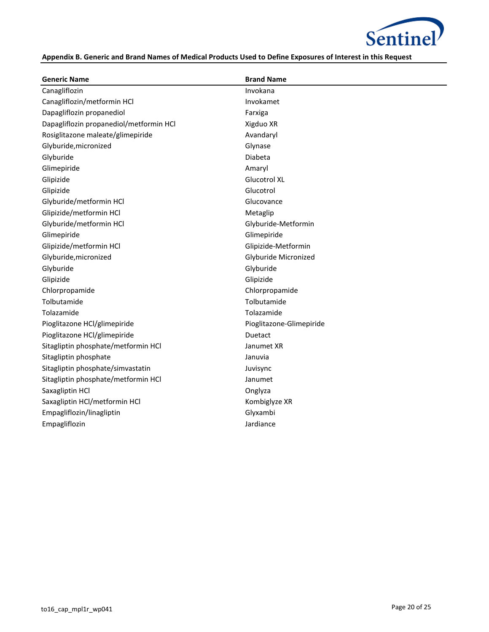

## **Appendix B. Generic and Brand Names of Medical Products Used to Define Exposures of Interest in this Request**

| <b>Generic Name</b>                     | <b>Brand Name</b>        |
|-----------------------------------------|--------------------------|
| Canagliflozin                           | Invokana                 |
| Canagliflozin/metformin HCl             | Invokamet                |
| Dapagliflozin propanediol               | Farxiga                  |
| Dapagliflozin propanediol/metformin HCl | Xigduo XR                |
| Rosiglitazone maleate/glimepiride       | Avandaryl                |
| Glyburide, micronized                   | Glynase                  |
| Glyburide                               | Diabeta                  |
| Glimepiride                             | Amaryl                   |
| Glipizide                               | Glucotrol XL             |
| Glipizide                               | Glucotrol                |
| Glyburide/metformin HCl                 | Glucovance               |
| Glipizide/metformin HCl                 | Metaglip                 |
| Glyburide/metformin HCl                 | Glyburide-Metformin      |
| Glimepiride                             | Glimepiride              |
| Glipizide/metformin HCl                 | Glipizide-Metformin      |
| Glyburide, micronized                   | Glyburide Micronized     |
| Glyburide                               | Glyburide                |
| Glipizide                               | Glipizide                |
| Chlorpropamide                          | Chlorpropamide           |
| Tolbutamide                             | Tolbutamide              |
| Tolazamide                              | Tolazamide               |
| Pioglitazone HCl/glimepiride            | Pioglitazone-Glimepiride |
| Pioglitazone HCl/glimepiride            | Duetact                  |
| Sitagliptin phosphate/metformin HCl     | Janumet XR               |
| Sitagliptin phosphate                   | Januvia                  |
| Sitagliptin phosphate/simvastatin       | Juvisync                 |
| Sitagliptin phosphate/metformin HCl     | Janumet                  |
| Saxagliptin HCl                         | Onglyza                  |
| Saxagliptin HCl/metformin HCl           | Kombiglyze XR            |
| Empagliflozin/linagliptin               | Glyxambi                 |
| Empagliflozin                           | Jardiance                |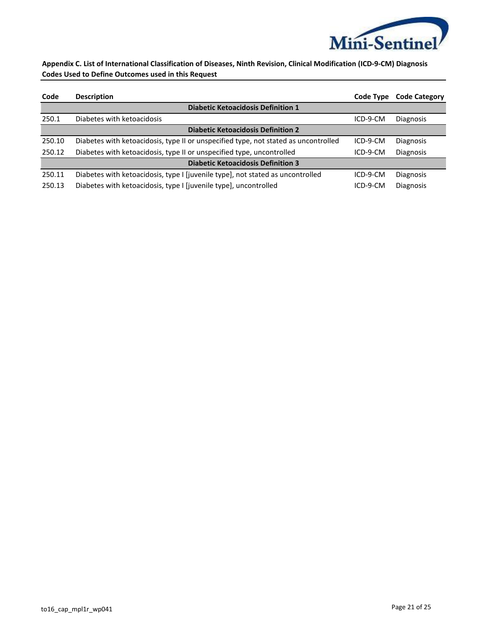

**Appendix C. List of International Classification of Diseases, Ninth Revision, Clinical Modification (ICD-9-CM) Diagnosis Codes Used to Define Outcomes used in this Request**

| Code                                      | <b>Description</b>                                                                  | Code Type | <b>Code Category</b> |  |  |  |  |  |  |  |
|-------------------------------------------|-------------------------------------------------------------------------------------|-----------|----------------------|--|--|--|--|--|--|--|
| <b>Diabetic Ketoacidosis Definition 1</b> |                                                                                     |           |                      |  |  |  |  |  |  |  |
| 250.1                                     | Diabetes with ketoacidosis                                                          | ICD-9-CM  | <b>Diagnosis</b>     |  |  |  |  |  |  |  |
| <b>Diabetic Ketoacidosis Definition 2</b> |                                                                                     |           |                      |  |  |  |  |  |  |  |
| 250.10                                    | Diabetes with ketoacidosis, type II or unspecified type, not stated as uncontrolled | ICD-9-CM  | Diagnosis            |  |  |  |  |  |  |  |
| 250.12                                    | Diabetes with ketoacidosis, type II or unspecified type, uncontrolled               | ICD-9-CM  | <b>Diagnosis</b>     |  |  |  |  |  |  |  |
| <b>Diabetic Ketoacidosis Definition 3</b> |                                                                                     |           |                      |  |  |  |  |  |  |  |
| 250.11                                    | Diabetes with ketoacidosis, type I [juvenile type], not stated as uncontrolled      | ICD-9-CM  | <b>Diagnosis</b>     |  |  |  |  |  |  |  |
| 250.13                                    | Diabetes with ketoacidosis, type I [juvenile type], uncontrolled                    | ICD-9-CM  | <b>Diagnosis</b>     |  |  |  |  |  |  |  |